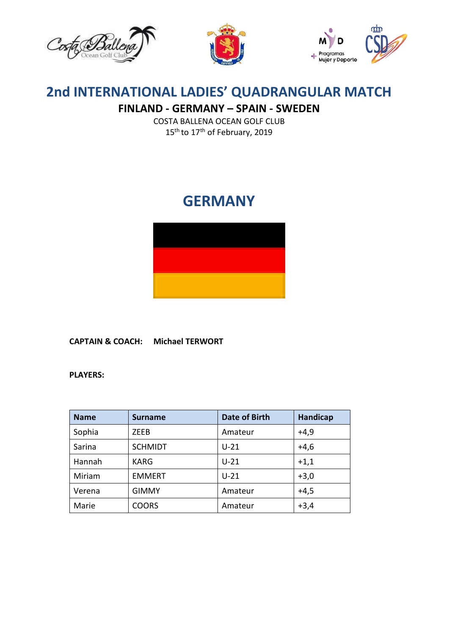





### **FINLAND - GERMANY – SPAIN - SWEDEN**

COSTA BALLENA OCEAN GOLF CLUB 15<sup>th</sup> to 17<sup>th</sup> of February, 2019

# **GERMANY**



**CAPTAIN & COACH: Michael TERWORT**

**PLAYERS:**

| <b>Name</b> | <b>Surname</b> | <b>Date of Birth</b> | Handicap |
|-------------|----------------|----------------------|----------|
| Sophia      | <b>ZEEB</b>    | Amateur              | $+4,9$   |
| Sarina      | <b>SCHMIDT</b> | $U-21$               | $+4,6$   |
| Hannah      | <b>KARG</b>    | $U-21$               | $+1,1$   |
| Miriam      | <b>EMMERT</b>  | $U-21$               | $+3,0$   |
| Verena      | <b>GIMMY</b>   | Amateur              | $+4,5$   |
| Marie       | <b>COORS</b>   | Amateur              | $+3,4$   |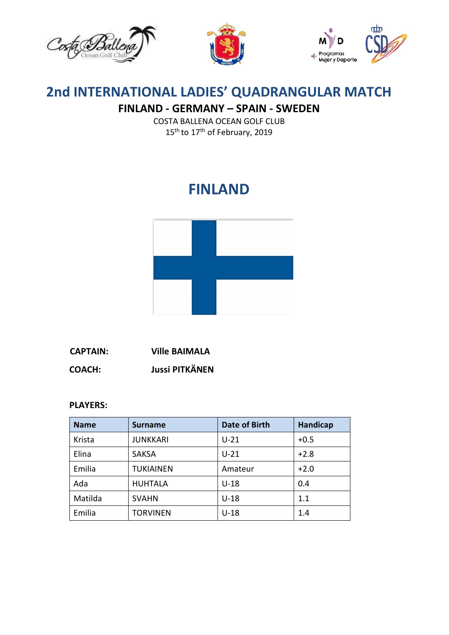





### **FINLAND - GERMANY – SPAIN - SWEDEN**

COSTA BALLENA OCEAN GOLF CLUB 15<sup>th</sup> to 17<sup>th</sup> of February, 2019

# **FINLAND**



| <b>CAPTAIN:</b> | <b>Ville BAIMALA</b>  |
|-----------------|-----------------------|
| <b>COACH:</b>   | <b>Jussi PITKÄNEN</b> |

#### **PLAYERS:**

| <b>Name</b> | <b>Surname</b>  | <b>Date of Birth</b> | Handicap |
|-------------|-----------------|----------------------|----------|
| Krista      | <b>JUNKKARI</b> | $U-21$               | $+0.5$   |
| Elina       | <b>SAKSA</b>    | $U-21$               | $+2.8$   |
| Emilia      | TUKIAINEN       | Amateur              | $+2.0$   |
| Ada         | <b>HUHTALA</b>  | $U-18$               | 0.4      |
| Matilda     | <b>SVAHN</b>    | $U-18$               | 1.1      |
| Emilia      | TORVINEN        | $U-18$               | 1.4      |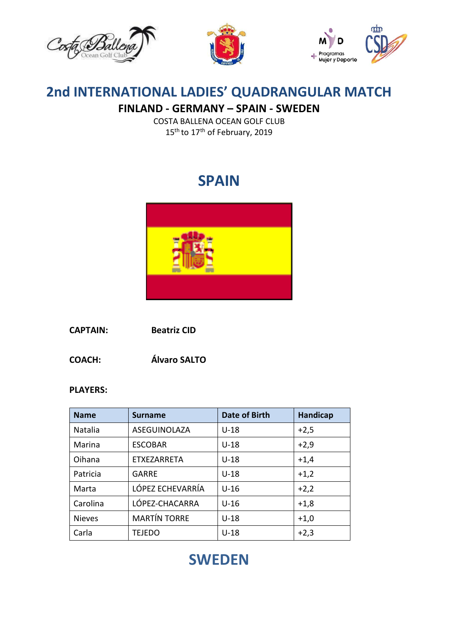





### **FINLAND - GERMANY – SPAIN - SWEDEN**

COSTA BALLENA OCEAN GOLF CLUB 15<sup>th</sup> to 17<sup>th</sup> of February, 2019

# **SPAIN**



**CAPTAIN: Beatriz CID**

**COACH: Álvaro SALTO**

#### **PLAYERS:**

| <b>Name</b>   | <b>Surname</b>      | <b>Date of Birth</b> | Handicap |
|---------------|---------------------|----------------------|----------|
| Natalia       | ASEGUINOLAZA        | $U-18$               | $+2,5$   |
| Marina        | <b>ESCOBAR</b>      | $U-18$               | $+2,9$   |
| Oihana        | ETXEZARRETA         | $U-18$               | $+1,4$   |
| Patricia      | <b>GARRE</b>        | $U-18$               | $+1,2$   |
| Marta         | LÓPEZ ECHEVARRÍA    | $U-16$               | $+2,2$   |
| Carolina      | LÓPEZ-CHACARRA      | $U-16$               | $+1,8$   |
| <b>Nieves</b> | <b>MARTÍN TORRE</b> | $U-18$               | $+1,0$   |
| Carla         | <b>TEJEDO</b>       | $U-18$               | $+2,3$   |

# **SWEDEN**